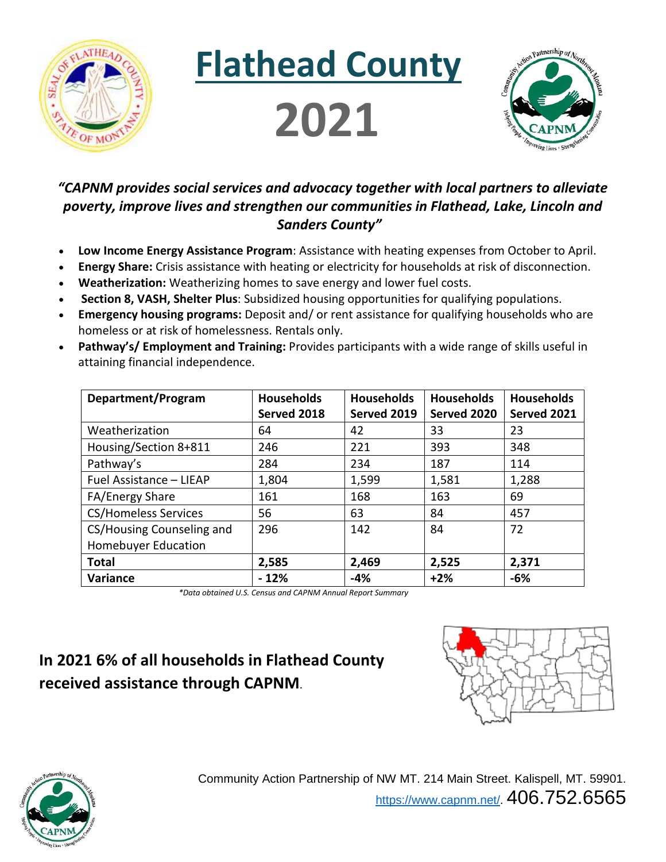

 **Flathead County** 





#### *"CAPNM provides social services and advocacy together with local partners to alleviate poverty, improve lives and strengthen our communities in Flathead, Lake, Lincoln and Sanders County"*

- **Low Income Energy Assistance Program**: Assistance with heating expenses from October to April.
- **Energy Share:** Crisis assistance with heating or electricity for households at risk of disconnection.
- **Weatherization:** Weatherizing homes to save energy and lower fuel costs.
- **Section 8, VASH, Shelter Plus**: Subsidized housing opportunities for qualifying populations.
- **Emergency housing programs:** Deposit and/ or rent assistance for qualifying households who are homeless or at risk of homelessness. Rentals only.
- **Pathway's/ Employment and Training:** Provides participants with a wide range of skills useful in attaining financial independence.

| Department/Program          | <b>Households</b> | <b>Households</b> | <b>Households</b> | <b>Households</b> |
|-----------------------------|-------------------|-------------------|-------------------|-------------------|
|                             | Served 2018       | Served 2019       | Served 2020       | Served 2021       |
| Weatherization              | 64                | 42                | 33                | 23                |
| Housing/Section 8+811       | 246               | 221               | 393               | 348               |
| Pathway's                   | 284               | 234               | 187               | 114               |
| Fuel Assistance - LIEAP     | 1,804             | 1,599             | 1,581             | 1,288             |
| FA/Energy Share             | 161               | 168               | 163               | 69                |
| <b>CS/Homeless Services</b> | 56                | 63                | 84                | 457               |
| CS/Housing Counseling and   | 296               | 142               | 84                | 72                |
| <b>Homebuyer Education</b>  |                   |                   |                   |                   |
| <b>Total</b>                | 2,585             | 2,469             | 2,525             | 2,371             |
| Variance                    | $-12%$            | $-4%$             | $+2%$             | -6%               |

*\*Data obtained U.S. Census and CAPNM Annual Report Summary*

### **In 2021 6% of all households in Flathead County received assistance through CAPNM**.



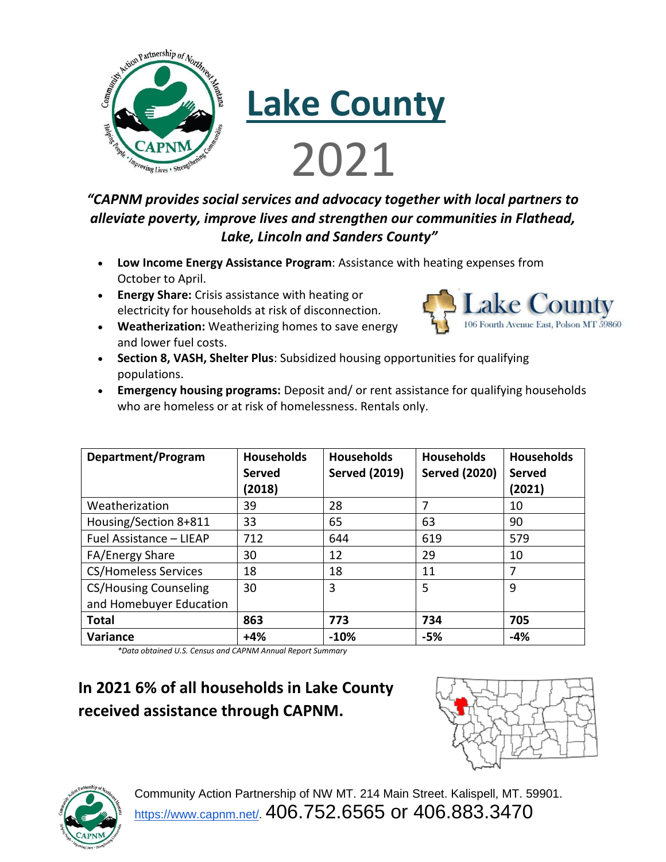

# **Lake County**

#### *"CAPNM provides social services and advocacy together with local partners to alleviate poverty, improve lives and strengthen our communities in Flathead, Lake, Lincoln and Sanders County"*

- **Low Income Energy Assistance Program**: Assistance with heating expenses from October to April.
- **Energy Share:** Crisis assistance with heating or electricity for households at risk of disconnection.
- **Weatherization:** Weatherizing homes to save energy and lower fuel costs.



- **Section 8, VASH, Shelter Plus**: Subsidized housing opportunities for qualifying populations.
- **Emergency housing programs:** Deposit and/ or rent assistance for qualifying households who are homeless or at risk of homelessness. Rentals only.

| Department/Program           | <b>Households</b><br><b>Served</b><br>(2018) | <b>Households</b><br><b>Served (2019)</b> | <b>Households</b><br><b>Served (2020)</b> | <b>Households</b><br><b>Served</b><br>(2021) |
|------------------------------|----------------------------------------------|-------------------------------------------|-------------------------------------------|----------------------------------------------|
|                              |                                              |                                           |                                           |                                              |
| Weatherization               | 39                                           | 28                                        |                                           | 10                                           |
| Housing/Section 8+811        | 33                                           | 65                                        | 63                                        | 90                                           |
| Fuel Assistance - LIEAP      | 712                                          | 644                                       | 619                                       | 579                                          |
| FA/Energy Share              | 30                                           | 12                                        | 29                                        | 10                                           |
| <b>CS/Homeless Services</b>  | 18                                           | 18                                        | 11                                        | 7                                            |
| <b>CS/Housing Counseling</b> | 30                                           | 3                                         | 5                                         | 9                                            |
| and Homebuyer Education      |                                              |                                           |                                           |                                              |
| <b>Total</b>                 | 863                                          | 773                                       | 734                                       | 705                                          |
| Variance                     | $+4%$                                        | $-10%$                                    | -5%                                       | $-4%$                                        |

*\*Data obtained U.S. Census and CAPNM Annual Report Summary*

#### **In 2021 6% of all households in Lake County received assistance through CAPNM.**





Community Action Partnership of NW MT. 214 Main Street. Kalispell, MT. 59901. [https://www.capnm.net/.](https://www.capnm.net/) 406.752.6565 or 406.883.3470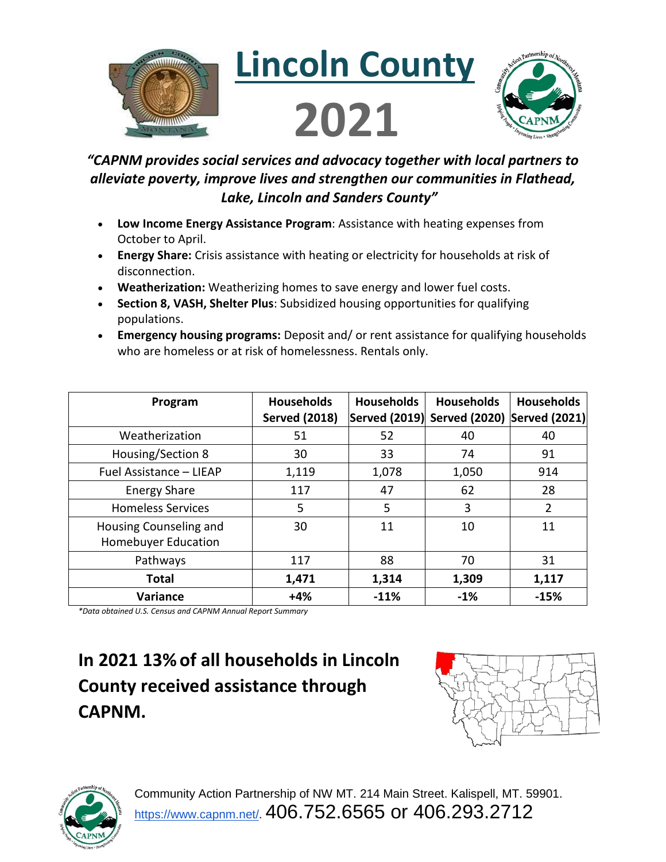

**Lincoln County**

# **2021**



#### *"CAPNM provides social services and advocacy together with local partners to alleviate poverty, improve lives and strengthen our communities in Flathead, Lake, Lincoln and Sanders County"*

- **Low Income Energy Assistance Program**: Assistance with heating expenses from October to April.
- **Energy Share:** Crisis assistance with heating or electricity for households at risk of disconnection.
- **Weatherization:** Weatherizing homes to save energy and lower fuel costs.
- **Section 8, VASH, Shelter Plus**: Subsidized housing opportunities for qualifying populations.
- **Emergency housing programs:** Deposit and/ or rent assistance for qualifying households who are homeless or at risk of homelessness. Rentals only.

| Program                                              | <b>Households</b><br><b>Served (2018)</b> | <b>Households</b><br><b>Served (2019)</b> | <b>Households</b><br>Served (2020) Served (2021) | <b>Households</b> |
|------------------------------------------------------|-------------------------------------------|-------------------------------------------|--------------------------------------------------|-------------------|
| Weatherization                                       | 51                                        | 52                                        | 40                                               | 40                |
| Housing/Section 8                                    | 30                                        | 33                                        | 74                                               | 91                |
| Fuel Assistance - LIEAP                              | 1,119                                     | 1,078                                     | 1,050                                            | 914               |
| <b>Energy Share</b>                                  | 117                                       | 47                                        | 62                                               | 28                |
| <b>Homeless Services</b>                             | 5                                         | 5                                         | 3                                                | 2                 |
| Housing Counseling and<br><b>Homebuyer Education</b> | 30                                        | 11                                        | 10                                               | 11                |
| Pathways                                             | 117                                       | 88                                        | 70                                               | 31                |
| <b>Total</b>                                         | 1,471                                     | 1,314                                     | 1,309                                            | 1,117             |
| <b>Variance</b>                                      | $+4%$                                     | $-11%$                                    | $-1%$                                            | $-15%$            |

*\*Data obtained U.S. Census and CAPNM Annual Report Summary*

# **In 2021 13% of all households in Lincoln County received assistance through CAPNM.**





Community Action Partnership of NW MT. 214 Main Street. Kalispell, MT. 59901. [https://www.capnm.net/.](https://www.capnm.net/) 406.752.6565 or 406.293.2712